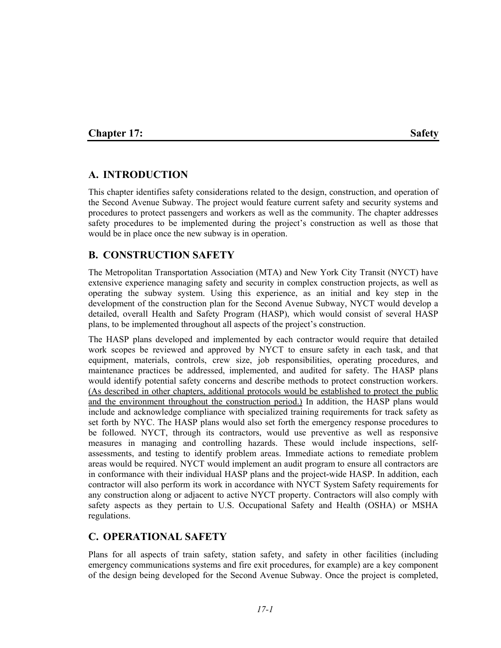## **Chapter 17:** Safety

## **A. INTRODUCTION**

This chapter identifies safety considerations related to the design, construction, and operation of the Second Avenue Subway. The project would feature current safety and security systems and procedures to protect passengers and workers as well as the community. The chapter addresses safety procedures to be implemented during the project's construction as well as those that would be in place once the new subway is in operation.

## **B. CONSTRUCTION SAFETY**

The Metropolitan Transportation Association (MTA) and New York City Transit (NYCT) have extensive experience managing safety and security in complex construction projects, as well as operating the subway system. Using this experience, as an initial and key step in the development of the construction plan for the Second Avenue Subway, NYCT would develop a detailed, overall Health and Safety Program (HASP), which would consist of several HASP plans, to be implemented throughout all aspects of the project's construction.

The HASP plans developed and implemented by each contractor would require that detailed work scopes be reviewed and approved by NYCT to ensure safety in each task, and that equipment, materials, controls, crew size, job responsibilities, operating procedures, and maintenance practices be addressed, implemented, and audited for safety. The HASP plans would identify potential safety concerns and describe methods to protect construction workers. (As described in other chapters, additional protocols would be established to protect the public and the environment throughout the construction period.) In addition, the HASP plans would include and acknowledge compliance with specialized training requirements for track safety as set forth by NYC. The HASP plans would also set forth the emergency response procedures to be followed. NYCT, through its contractors, would use preventive as well as responsive measures in managing and controlling hazards. These would include inspections, selfassessments, and testing to identify problem areas. Immediate actions to remediate problem areas would be required. NYCT would implement an audit program to ensure all contractors are in conformance with their individual HASP plans and the project-wide HASP. In addition, each contractor will also perform its work in accordance with NYCT System Safety requirements for any construction along or adjacent to active NYCT property. Contractors will also comply with safety aspects as they pertain to U.S. Occupational Safety and Health (OSHA) or MSHA regulations.

## **C. OPERATIONAL SAFETY**

Plans for all aspects of train safety, station safety, and safety in other facilities (including emergency communications systems and fire exit procedures, for example) are a key component of the design being developed for the Second Avenue Subway. Once the project is completed,